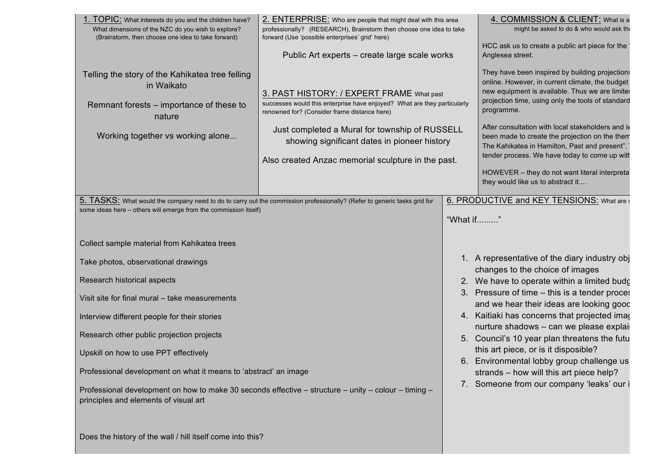their thoughts?

| 1. TOPIC: What interests do you and the children have?<br>What dimensions of the NZC do you wish to explore?<br>(Brainstorm, then choose one idea to take forward)                           | 2. ENTERPRISE: Who are people that might deal with this area<br>professionally? (RESEARCH), Brainstorm then choose one idea to take<br>forward (Use 'possible enterprises' grid' here)                                                                                                                                        |                                                                                      | 4. COMMISSION & CLIENT: What is a<br>might be asked to do & who would ask th                                                                                                                                                                                                                                                                                                                                                                                                                                            |  |
|----------------------------------------------------------------------------------------------------------------------------------------------------------------------------------------------|-------------------------------------------------------------------------------------------------------------------------------------------------------------------------------------------------------------------------------------------------------------------------------------------------------------------------------|--------------------------------------------------------------------------------------|-------------------------------------------------------------------------------------------------------------------------------------------------------------------------------------------------------------------------------------------------------------------------------------------------------------------------------------------------------------------------------------------------------------------------------------------------------------------------------------------------------------------------|--|
|                                                                                                                                                                                              | Public Art experts – create large scale works                                                                                                                                                                                                                                                                                 |                                                                                      | HCC ask us to create a public art piece for the<br>Anglesea street.                                                                                                                                                                                                                                                                                                                                                                                                                                                     |  |
| Telling the story of the Kahikatea tree felling<br>in Waikato<br>Remnant forests – importance of these to<br>nature<br>Working together vs working alone                                     | 3. PAST HISTORY: / EXPERT FRAME What past<br>successes would this enterprise have enjoyed? What are they particularly<br>renowned for? (Consider frame distance here)<br>Just completed a Mural for township of RUSSELL<br>showing significant dates in pioneer history<br>Also created Anzac memorial sculpture in the past. |                                                                                      | They have been inspired by building projections<br>online. However, in current climate, the budget<br>new equipment is available. Thus we are limited<br>projection time, using only the tools of standard<br>programme.<br>After consultation with local stakeholders and in<br>been made to create the projection on the them<br>The Kahikatea in Hamilton, Past and present".<br>tender process. We have today to come up witl<br>HOWEVER - they do not want literal interpreta<br>they would like us to abstract it |  |
| 5. TASKS: What would the company need to do to carry out the commission professionally? (Refer to generic tasks grid for<br>some ideas here - others will emerge from the commission itself) |                                                                                                                                                                                                                                                                                                                               | "What if"                                                                            | 6. PRODUCTIVE and KEY TENSIONS: What are                                                                                                                                                                                                                                                                                                                                                                                                                                                                                |  |
| Collect sample material from Kahikatea trees                                                                                                                                                 |                                                                                                                                                                                                                                                                                                                               |                                                                                      |                                                                                                                                                                                                                                                                                                                                                                                                                                                                                                                         |  |
| Take photos, observational drawings                                                                                                                                                          |                                                                                                                                                                                                                                                                                                                               |                                                                                      | 1. A representative of the diary industry obj<br>changes to the choice of images                                                                                                                                                                                                                                                                                                                                                                                                                                        |  |
| Research historical aspects                                                                                                                                                                  |                                                                                                                                                                                                                                                                                                                               |                                                                                      | 2. We have to operate within a limited budg                                                                                                                                                                                                                                                                                                                                                                                                                                                                             |  |
| Visit site for final mural - take measurements                                                                                                                                               |                                                                                                                                                                                                                                                                                                                               | 3.                                                                                   | Pressure of time – this is a tender proces<br>and we hear their ideas are looking good                                                                                                                                                                                                                                                                                                                                                                                                                                  |  |
| Interview different people for their stories                                                                                                                                                 |                                                                                                                                                                                                                                                                                                                               |                                                                                      | 4. Kaitiaki has concerns that projected image<br>nurture shadows - can we please explai                                                                                                                                                                                                                                                                                                                                                                                                                                 |  |
| Research other public projection projects                                                                                                                                                    |                                                                                                                                                                                                                                                                                                                               |                                                                                      | 5. Council's 10 year plan threatens the futu                                                                                                                                                                                                                                                                                                                                                                                                                                                                            |  |
| Upskill on how to use PPT effectively                                                                                                                                                        |                                                                                                                                                                                                                                                                                                                               | this art piece, or is it disposible?<br>Environmental lobby group challenge us<br>6. |                                                                                                                                                                                                                                                                                                                                                                                                                                                                                                                         |  |
| Professional development on what it means to 'abstract' an image                                                                                                                             |                                                                                                                                                                                                                                                                                                                               |                                                                                      | strands – how will this art piece help?<br>7. Someone from our company 'leaks' our i                                                                                                                                                                                                                                                                                                                                                                                                                                    |  |
| Professional development on how to make 30 seconds effective – structure – unity – colour – timing –<br>principles and elements of visual art                                                |                                                                                                                                                                                                                                                                                                                               |                                                                                      |                                                                                                                                                                                                                                                                                                                                                                                                                                                                                                                         |  |
| Does the history of the wall / hill itself come into this?                                                                                                                                   |                                                                                                                                                                                                                                                                                                                               |                                                                                      |                                                                                                                                                                                                                                                                                                                                                                                                                                                                                                                         |  |